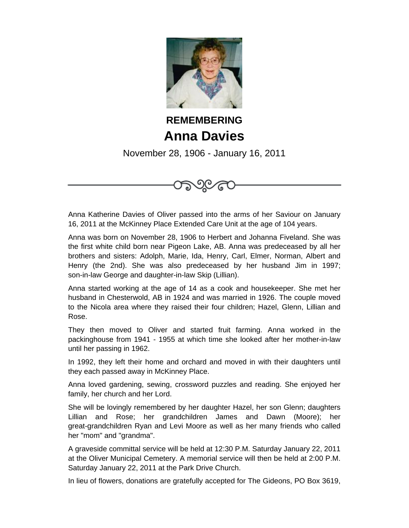

## **REMEMBERING Anna Davies**

November 28, 1906 - January 16, 2011



Anna Katherine Davies of Oliver passed into the arms of her Saviour on January 16, 2011 at the McKinney Place Extended Care Unit at the age of 104 years.

Anna was born on November 28, 1906 to Herbert and Johanna Fiveland. She was the first white child born near Pigeon Lake, AB. Anna was predeceased by all her brothers and sisters: Adolph, Marie, Ida, Henry, Carl, Elmer, Norman, Albert and Henry (the 2nd). She was also predeceased by her husband Jim in 1997; son-in-law George and daughter-in-law Skip (Lillian).

Anna started working at the age of 14 as a cook and housekeeper. She met her husband in Chesterwold, AB in 1924 and was married in 1926. The couple moved to the Nicola area where they raised their four children; Hazel, Glenn, Lillian and Rose.

They then moved to Oliver and started fruit farming. Anna worked in the packinghouse from 1941 - 1955 at which time she looked after her mother-in-law until her passing in 1962.

In 1992, they left their home and orchard and moved in with their daughters until they each passed away in McKinney Place.

Anna loved gardening, sewing, crossword puzzles and reading. She enjoyed her family, her church and her Lord.

She will be lovingly remembered by her daughter Hazel, her son Glenn; daughters Lillian and Rose; her grandchildren James and Dawn (Moore); her great-grandchildren Ryan and Levi Moore as well as her many friends who called her "mom" and "grandma".

A graveside committal service will be held at 12:30 P.M. Saturday January 22, 2011 at the Oliver Municipal Cemetery. A memorial service will then be held at 2:00 P.M. Saturday January 22, 2011 at the Park Drive Church.

In lieu of flowers, donations are gratefully accepted for The Gideons, PO Box 3619,